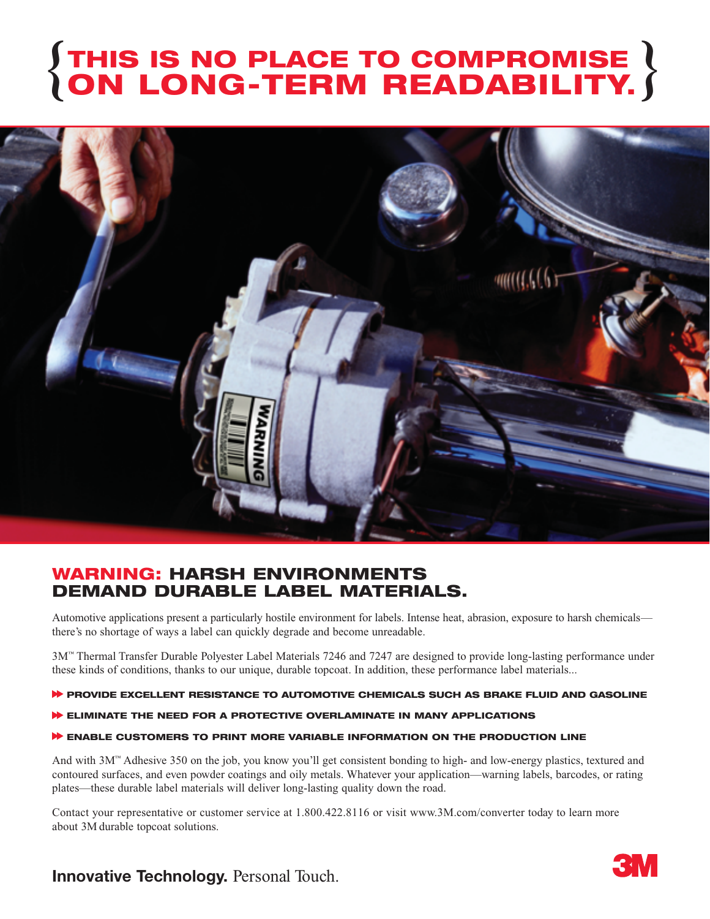# **THIS IS NO PLACE TO COMPROMISE ON LONG-TERM READABILITY. { }**



### **WARNING: HARSH ENVIRONMENTS DEMAND DURABLE LABEL MATERIALS.**

Automotive applications present a particularly hostile environment for labels. Intense heat, abrasion, exposure to harsh chemicals there's no shortage of ways a label can quickly degrade and become unreadable.

3M™ Thermal Transfer Durable Polyester Label Materials 7246 and 7247 are designed to provide long-lasting performance under these kinds of conditions, thanks to our unique, durable topcoat. In addition, these performance label materials...

#### **PROVIDE EXCELLENT RESISTANCE TO AUTOMOTIVE CHEMICALS SUCH AS BRAKE FLUID AND GASOLINE**

**ELIMINATE THE NEED FOR A PROTECTIVE OVERLAMINATE IN MANY APPLICATIONS**

#### **ENABLE CUSTOMERS TO PRINT MORE VARIABLE INFORMATION ON THE PRODUCTION LINE**

And with 3M™ Adhesive 350 on the job, you know you'll get consistent bonding to high- and low-energy plastics, textured and contoured surfaces, and even powder coatings and oily metals. Whatever your application—warning labels, barcodes, or rating plates—these durable label materials will deliver long-lasting quality down the road.

Contact your representative or customer service at 1.800.422.8116 or visit www.3M.com/converter today to learn more about 3M durable topcoat solutions.

## **Innovative Technology.** Personal Touch.